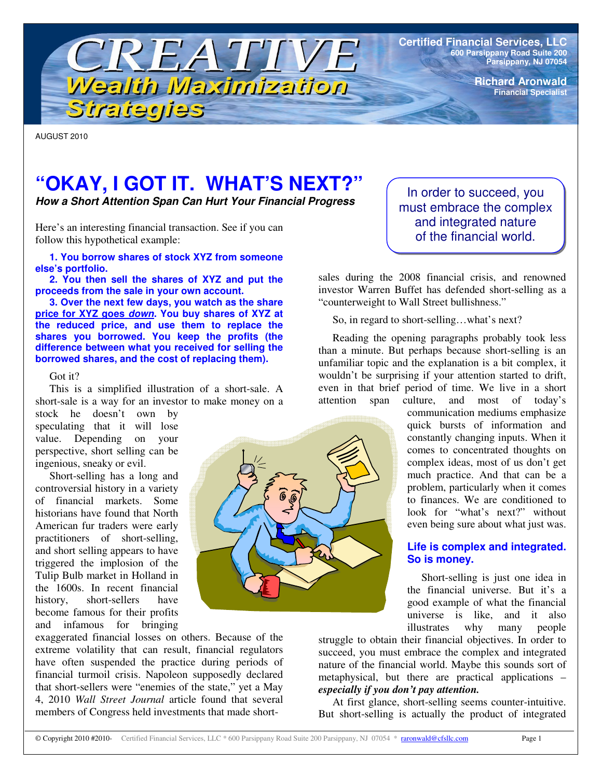

**Certified Financial Services, LLC 600 Parsippany Road Suite 200 Parsippany, NJ 07054**

> **Richard Aronwald Financial Specialist**

AUGUST 2010

# **"OKAY, I GOT IT. WHAT'S NEXT?"**

*How a Short Attention Span Can Hurt Your Financial Progress*

Here's an interesting financial transaction. See if you can follow this hypothetical example:

**1. You borrow shares of stock XYZ from someone else's portfolio.**

**2. You then sell the shares of XYZ and put the proceeds from the sale in your own account.**

**3. Over the next few days, you watch as the share price for XYZ goes** *down***. You buy shares of XYZ at the reduced price, and use them to replace the shares you borrowed. You keep the profits (the difference between what you received for selling the borrowed shares, and the cost of replacing them).**

#### Got it?

This is a simplified illustration of a short-sale. A short-sale is a way for an investor to make money on a

stock he doesn't own by speculating that it will lose value. Depending on your perspective, short selling can be ingenious, sneaky or evil.

Short-selling has a long and controversial history in a variety of financial markets. Some historians have found that North American fur traders were early practitioners of short-selling, and short selling appears to have triggered the implosion of the Tulip Bulb market in Holland in the 1600s. In recent financial history, short-sellers have become famous for their profits and infamous for bringing



In order to succeed, you must embrace the complex and integrated nature of the financial world.

sales during the 2008 financial crisis, and renowned investor Warren Buffet has defended short-selling as a "counterweight to Wall Street bullishness."

So, in regard to short-selling…what's next?

Reading the opening paragraphs probably took less than a minute. But perhaps because short-selling is an unfamiliar topic and the explanation is a bit complex, it wouldn't be surprising if your attention started to drift, even in that brief period of time. We live in a short attention span culture, and most of today's

communication mediums emphasize quick bursts of information and constantly changing inputs. When it comes to concentrated thoughts on complex ideas, most of us don't get much practice. And that can be a problem, particularly when it comes to finances. We are conditioned to look for "what's next?" without even being sure about what just was.

## **Life is complex and integrated. So is money.**

Short-selling is just one idea in the financial universe. But it's a good example of what the financial universe is like, and it also illustrates why many people

struggle to obtain their financial objectives. In order to succeed, you must embrace the complex and integrated nature of the financial world. Maybe this sounds sort of metaphysical, but there are practical applications – *especially if you don't pay attention.*

At first glance, short-selling seems counter-intuitive. But short-selling is actually the product of integrated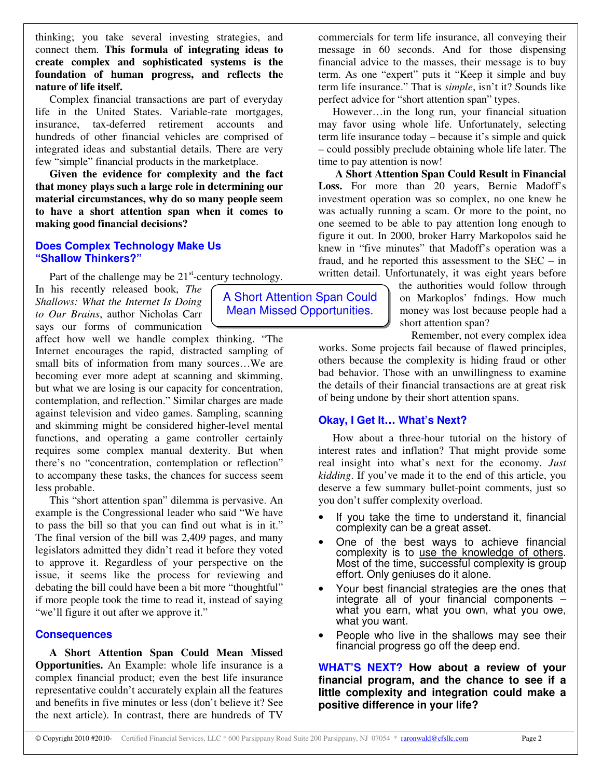thinking; you take several investing strategies, and connect them. **This formula of integrating ideas to create complex and sophisticated systems is the foundation of human progress, and reflects the nature of life itself.**

Complex financial transactions are part of everyday life in the United States. Variable-rate mortgages, insurance, tax-deferred retirement accounts and hundreds of other financial vehicles are comprised of integrated ideas and substantial details. There are very few "simple" financial products in the marketplace.

**Given the evidence for complexity and the fact that money plays such a large role in determining our material circumstances, why do so many people seem to have a short attention span when it comes to making good financial decisions?**

#### **Does Complex Technology Make Us "Shallow Thinkers?"**

Part of the challenge may be  $21<sup>st</sup>$ -century technology.

In his recently released book, *The Shallows: What the Internet Is Doing to Our Brains*, author Nicholas Carr says our forms of communication

affect how well we handle complex thinking. "The Internet encourages the rapid, distracted sampling of small bits of information from many sources…We are becoming ever more adept at scanning and skimming, but what we are losing is our capacity for concentration, contemplation, and reflection." Similar charges are made against television and video games. Sampling, scanning and skimming might be considered higher-level mental functions, and operating a game controller certainly requires some complex manual dexterity. But when there's no "concentration, contemplation or reflection" to accompany these tasks, the chances for success seem less probable.

This "short attention span" dilemma is pervasive. An example is the Congressional leader who said "We have to pass the bill so that you can find out what is in it." The final version of the bill was 2,409 pages, and many legislators admitted they didn't read it before they voted to approve it. Regardless of your perspective on the issue, it seems like the process for reviewing and debating the bill could have been a bit more "thoughtful" if more people took the time to read it, instead of saying "we'll figure it out after we approve it."

#### **Consequences**

**A Short Attention Span Could Mean Missed Opportunities.** An Example: whole life insurance is a complex financial product; even the best life insurance representative couldn't accurately explain all the features and benefits in five minutes or less (don't believe it? See the next article). In contrast, there are hundreds of TV

commercials for term life insurance, all conveying their message in 60 seconds. And for those dispensing financial advice to the masses, their message is to buy term. As one "expert" puts it "Keep it simple and buy term life insurance." That is *simple*, isn't it? Sounds like perfect advice for "short attention span" types.

However…in the long run, your financial situation may favor using whole life. Unfortunately, selecting term life insurance today – because it's simple and quick – could possibly preclude obtaining whole life later. The time to pay attention is now!

**A Short Attention Span Could Result in Financial Loss.** For more than 20 years, Bernie Madoff's investment operation was so complex, no one knew he was actually running a scam. Or more to the point, no one seemed to be able to pay attention long enough to figure it out. In 2000, broker Harry Markopolos said he knew in "five minutes" that Madoff's operation was a fraud, and he reported this assessment to the SEC – in written detail. Unfortunately, it was eight years before

> the authorities would follow through on Markoplos' fndings. How much money was lost because people had a short attention span?

Remember, not every complex idea

works. Some projects fail because of flawed principles, others because the complexity is hiding fraud or other bad behavior. Those with an unwillingness to examine the details of their financial transactions are at great risk of being undone by their short attention spans.

#### **Okay, I Get It… What's Next?**

A Short Attention Span Could Mean Missed Opportunities.

> How about a three-hour tutorial on the history of interest rates and inflation? That might provide some real insight into what's next for the economy. *Just kidding*. If you've made it to the end of this article, you deserve a few summary bullet-point comments, just so you don't suffer complexity overload.

- If you take the time to understand it, financial complexity can be a great asset.
- One of the best ways to achieve financial complexity is to use the knowledge of others. Most of the time, successful complexity is group effort. Only geniuses do it alone.
- Your best financial strategies are the ones that integrate all of your financial components – what you earn, what you own, what you owe, what you want.
- People who live in the shallows may see their financial progress go off the deep end.

**WHAT'S NEXT? How about a review of your financial program, and the chance to see if a little complexity and integration could make a positive difference in your life?**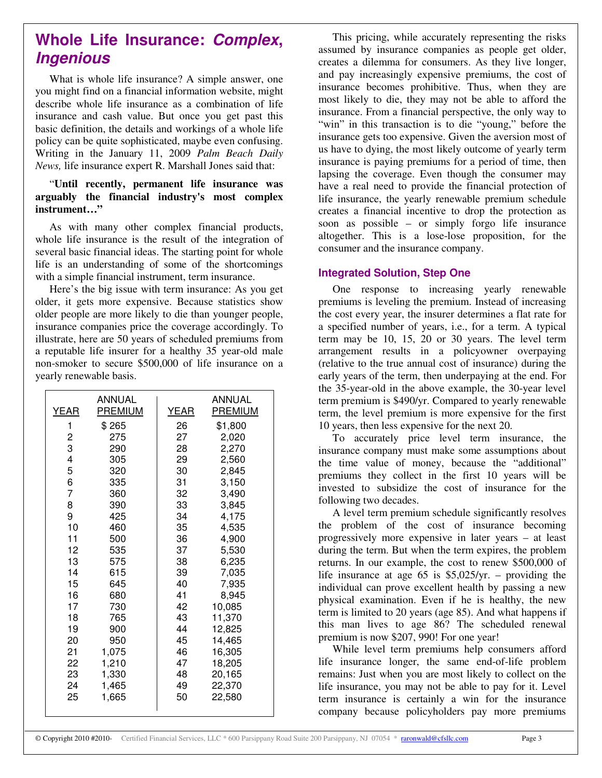# **Whole Life Insurance:** *Complex***,** *Ingenious*

What is whole life insurance? A simple answer, one you might find on a financial information website, might describe whole life insurance as a combination of life insurance and cash value. But once you get past this basic definition, the details and workings of a whole life policy can be quite sophisticated, maybe even confusing. Writing in the January 11, 2009 *Palm Beach Daily News,* life insurance expert R. Marshall Jones said that:

### "**Until recently, permanent life insurance was arguably the financial industry's most complex instrument…"**

As with many other complex financial products, whole life insurance is the result of the integration of several basic financial ideas. The starting point for whole life is an understanding of some of the shortcomings with a simple financial instrument, term insurance.

Here's the big issue with term insurance: As you get older, it gets more expensive. Because statistics show older people are more likely to die than younger people, insurance companies price the coverage accordingly. To illustrate, here are 50 years of scheduled premiums from a reputable life insurer for a healthy 35 year-old male non-smoker to secure \$500,000 of life insurance on a yearly renewable basis.

| <b>YEAR</b> | <b>ANNUAL</b><br><b>PREMIUM</b> | <b>YEAR</b> | <b>ANNUAL</b><br><b>PREMIUM</b> |
|-------------|---------------------------------|-------------|---------------------------------|
|             |                                 |             |                                 |
| 1           | \$265                           | 26          | \$1,800                         |
| 2           | 275                             | 27          | 2,020                           |
| 3           | 290                             | 28          | 2,270                           |
| 4           | 305                             | 29          | 2,560                           |
| 5           | 320                             | 30          | 2,845                           |
| 6           | 335                             | 31          | 3,150                           |
| 7           | 360                             | 32          | 3,490                           |
| 8           | 390                             | 33          | 3,845                           |
| 9           | 425                             | 34          | 4,175                           |
| 10          | 460                             | 35          | 4,535                           |
| 11          | 500                             | 36          | 4,900                           |
| 12          | 535                             | 37          | 5,530                           |
| 13          | 575                             | 38          | 6,235                           |
| 14          | 615                             | 39          | 7,035                           |
| 15          | 645                             | 40          | 7,935                           |
| 16          | 680                             | 41          | 8,945                           |
| 17          | 730                             | 42          | 10,085                          |
| 18          | 765                             | 43          | 11,370                          |
| 19          | 900                             | 44          | 12,825                          |
| 20          | 950                             | 45          | 14,465                          |
| 21          | 1,075                           | 46          | 16,305                          |
| 22          | 1,210                           | 47          | 18,205                          |
| 23          | 1,330                           | 48          | 20,165                          |
| 24          | 1,465                           | 49          | 22,370                          |
| 25          | 1,665                           | 50          | 22,580                          |
|             |                                 |             |                                 |

This pricing, while accurately representing the risks assumed by insurance companies as people get older, creates a dilemma for consumers. As they live longer, and pay increasingly expensive premiums, the cost of insurance becomes prohibitive. Thus, when they are most likely to die, they may not be able to afford the insurance. From a financial perspective, the only way to "win" in this transaction is to die "young," before the insurance gets too expensive. Given the aversion most of us have to dying, the most likely outcome of yearly term insurance is paying premiums for a period of time, then lapsing the coverage. Even though the consumer may have a real need to provide the financial protection of life insurance, the yearly renewable premium schedule creates a financial incentive to drop the protection as soon as possible – or simply forgo life insurance altogether. This is a lose-lose proposition, for the consumer and the insurance company.

# **Integrated Solution, Step One**

One response to increasing yearly renewable premiums is leveling the premium. Instead of increasing the cost every year, the insurer determines a flat rate for a specified number of years, i.e., for a term. A typical term may be 10, 15, 20 or 30 years. The level term arrangement results in a policyowner overpaying (relative to the true annual cost of insurance) during the early years of the term, then underpaying at the end. For the 35-year-old in the above example, the 30-year level term premium is \$490/yr. Compared to yearly renewable term, the level premium is more expensive for the first 10 years, then less expensive for the next 20.

To accurately price level term insurance, the insurance company must make some assumptions about the time value of money, because the "additional" premiums they collect in the first 10 years will be invested to subsidize the cost of insurance for the following two decades.

A level term premium schedule significantly resolves the problem of the cost of insurance becoming progressively more expensive in later years – at least during the term. But when the term expires, the problem returns. In our example, the cost to renew \$500,000 of life insurance at age 65 is \$5,025/yr. – providing the individual can prove excellent health by passing a new physical examination. Even if he is healthy, the new term is limited to 20 years (age 85). And what happens if this man lives to age 86? The scheduled renewal premium is now \$207, 990! For one year!

While level term premiums help consumers afford life insurance longer, the same end-of-life problem remains: Just when you are most likely to collect on the life insurance, you may not be able to pay for it. Level term insurance is certainly a win for the insurance company because policyholders pay more premiums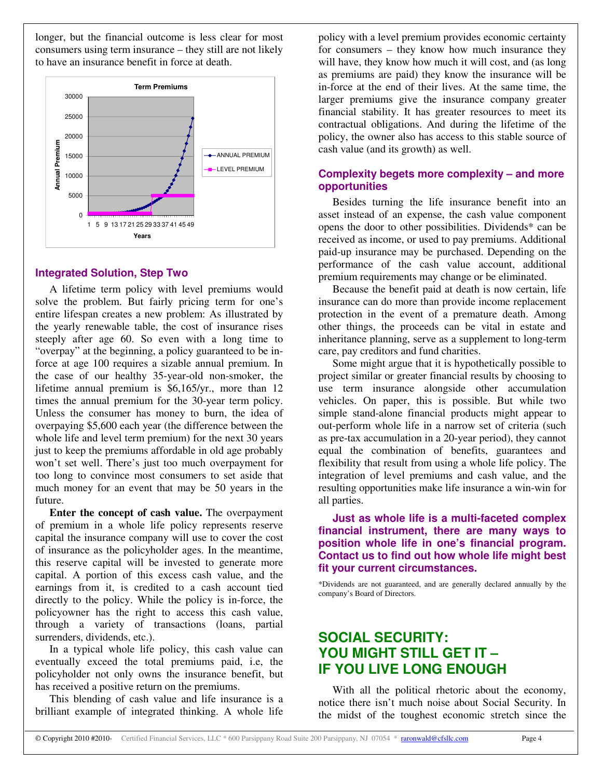longer, but the financial outcome is less clear for most consumers using term insurance – they still are not likely to have an insurance benefit in force at death.



#### **Integrated Solution, Step Two**

A lifetime term policy with level premiums would solve the problem. But fairly pricing term for one's entire lifespan creates a new problem: As illustrated by the yearly renewable table, the cost of insurance rises steeply after age 60. So even with a long time to "overpay" at the beginning, a policy guaranteed to be inforce at age 100 requires a sizable annual premium. In the case of our healthy 35-year-old non-smoker, the lifetime annual premium is \$6,165/yr., more than 12 times the annual premium for the 30-year term policy. Unless the consumer has money to burn, the idea of overpaying \$5,600 each year (the difference between the whole life and level term premium) for the next 30 years just to keep the premiums affordable in old age probably won't set well. There's just too much overpayment for too long to convince most consumers to set aside that much money for an event that may be 50 years in the future.

**Enter the concept of cash value.** The overpayment of premium in a whole life policy represents reserve capital the insurance company will use to cover the cost of insurance as the policyholder ages. In the meantime, this reserve capital will be invested to generate more capital. A portion of this excess cash value, and the earnings from it, is credited to a cash account tied directly to the policy. While the policy is in-force, the policyowner has the right to access this cash value, through a variety of transactions (loans, partial surrenders, dividends, etc.).

In a typical whole life policy, this cash value can eventually exceed the total premiums paid, i.e, the policyholder not only owns the insurance benefit, but has received a positive return on the premiums.

This blending of cash value and life insurance is a brilliant example of integrated thinking. A whole life

policy with a level premium provides economic certainty for consumers – they know how much insurance they will have, they know how much it will cost, and (as long as premiums are paid) they know the insurance will be in-force at the end of their lives. At the same time, the larger premiums give the insurance company greater financial stability. It has greater resources to meet its contractual obligations. And during the lifetime of the policy, the owner also has access to this stable source of cash value (and its growth) as well.

# **Complexity begets more complexity – and more opportunities**

Besides turning the life insurance benefit into an asset instead of an expense, the cash value component opens the door to other possibilities. Dividends\* can be received as income, or used to pay premiums. Additional paid-up insurance may be purchased. Depending on the performance of the cash value account, additional premium requirements may change or be eliminated.

Because the benefit paid at death is now certain, life insurance can do more than provide income replacement protection in the event of a premature death. Among other things, the proceeds can be vital in estate and inheritance planning, serve as a supplement to long-term care, pay creditors and fund charities.

Some might argue that it is hypothetically possible to project similar or greater financial results by choosing to use term insurance alongside other accumulation vehicles. On paper, this is possible. But while two simple stand-alone financial products might appear to out-perform whole life in a narrow set of criteria (such as pre-tax accumulation in a 20-year period), they cannot equal the combination of benefits, guarantees and flexibility that result from using a whole life policy. The integration of level premiums and cash value, and the resulting opportunities make life insurance a win-win for all parties.

**Just as whole life is a multi-faceted complex financial instrument, there are many ways to position whole life in one's financial program. Contact us to find out how whole life might best fit your current circumstances.**

\*Dividends are not guaranteed, and are generally declared annually by the company's Board of Directors.

# **SOCIAL SECURITY: YOU MIGHT STILL GET IT – IF YOU LIVE LONG ENOUGH**

With all the political rhetoric about the economy, notice there isn't much noise about Social Security. In the midst of the toughest economic stretch since the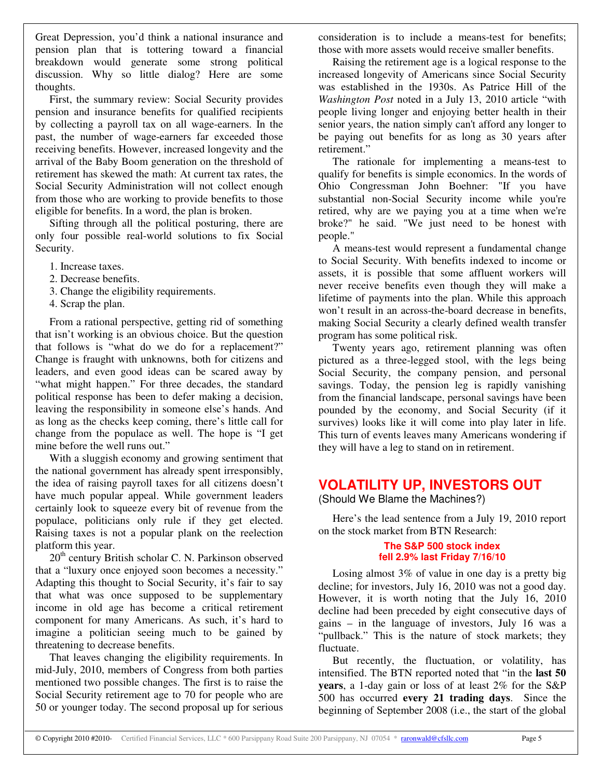Great Depression, you'd think a national insurance and pension plan that is tottering toward a financial breakdown would generate some strong political discussion. Why so little dialog? Here are some thoughts.

First, the summary review: Social Security provides pension and insurance benefits for qualified recipients by collecting a payroll tax on all wage-earners. In the past, the number of wage-earners far exceeded those receiving benefits. However, increased longevity and the arrival of the Baby Boom generation on the threshold of retirement has skewed the math: At current tax rates, the Social Security Administration will not collect enough from those who are working to provide benefits to those eligible for benefits. In a word, the plan is broken.

Sifting through all the political posturing, there are only four possible real-world solutions to fix Social Security.

- 1. Increase taxes.
- 2. Decrease benefits.
- 3. Change the eligibility requirements.
- 4. Scrap the plan.

From a rational perspective, getting rid of something that isn't working is an obvious choice. But the question that follows is "what do we do for a replacement?" Change is fraught with unknowns, both for citizens and leaders, and even good ideas can be scared away by "what might happen." For three decades, the standard political response has been to defer making a decision, leaving the responsibility in someone else's hands. And as long as the checks keep coming, there's little call for change from the populace as well. The hope is "I get mine before the well runs out."

With a sluggish economy and growing sentiment that the national government has already spent irresponsibly, the idea of raising payroll taxes for all citizens doesn't have much popular appeal. While government leaders certainly look to squeeze every bit of revenue from the populace, politicians only rule if they get elected. Raising taxes is not a popular plank on the reelection platform this year.

20<sup>th</sup> century British scholar C. N. Parkinson observed that a "luxury once enjoyed soon becomes a necessity." Adapting this thought to Social Security, it's fair to say that what was once supposed to be supplementary income in old age has become a critical retirement component for many Americans. As such, it's hard to imagine a politician seeing much to be gained by threatening to decrease benefits.

That leaves changing the eligibility requirements. In mid-July, 2010, members of Congress from both parties mentioned two possible changes. The first is to raise the Social Security retirement age to 70 for people who are 50 or younger today. The second proposal up for serious consideration is to include a means-test for benefits; those with more assets would receive smaller benefits.

Raising the retirement age is a logical response to the increased longevity of Americans since Social Security was established in the 1930s. As Patrice Hill of the *Washington Post* noted in a July 13, 2010 article "with people living longer and enjoying better health in their senior years, the nation simply can't afford any longer to be paying out benefits for as long as 30 years after retirement."

The rationale for implementing a means-test to qualify for benefits is simple economics. In the words of Ohio Congressman John Boehner: "If you have substantial non-Social Security income while you're retired, why are we paying you at a time when we're broke?" he said. "We just need to be honest with people."

A means-test would represent a fundamental change to Social Security. With benefits indexed to income or assets, it is possible that some affluent workers will never receive benefits even though they will make a lifetime of payments into the plan. While this approach won't result in an across-the-board decrease in benefits, making Social Security a clearly defined wealth transfer program has some political risk.

Twenty years ago, retirement planning was often pictured as a three-legged stool, with the legs being Social Security, the company pension, and personal savings. Today, the pension leg is rapidly vanishing from the financial landscape, personal savings have been pounded by the economy, and Social Security (if it survives) looks like it will come into play later in life. This turn of events leaves many Americans wondering if they will have a leg to stand on in retirement.

# **VOLATILITY UP, INVESTORS OUT**

(Should We Blame the Machines?)

Here's the lead sentence from a July 19, 2010 report on the stock market from BTN Research:

#### **The S&P 500 stock index fell 2.9% last Friday 7/16/10**

Losing almost 3% of value in one day is a pretty big decline; for investors, July 16, 2010 was not a good day. However, it is worth noting that the July 16, 2010 decline had been preceded by eight consecutive days of gains – in the language of investors, July 16 was a "pullback." This is the nature of stock markets; they fluctuate.

But recently, the fluctuation, or volatility, has intensified. The BTN reported noted that "in the **last 50 years**, a 1-day gain or loss of at least 2% for the S&P 500 has occurred **every 21 trading days**. Since the beginning of September 2008 (i.e., the start of the global